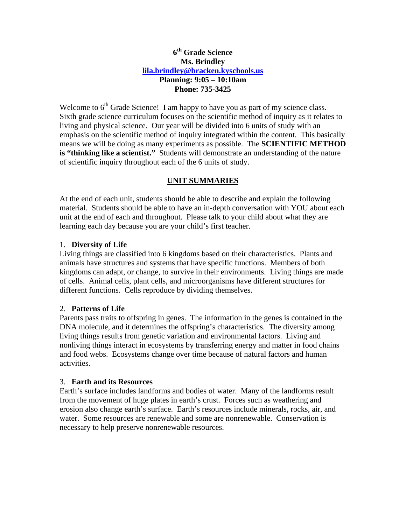## **6th Grade Science Ms. Brindley [lila.brindley@bracken.kyschools.us](mailto:lila.brindley@bracken.kyschools.us) Planning: 9:05 – 10:10am Phone: 735-3425**

Welcome to  $6<sup>th</sup>$  Grade Science! I am happy to have you as part of my science class. Sixth grade science curriculum focuses on the scientific method of inquiry as it relates to living and physical science. Our year will be divided into 6 units of study with an emphasis on the scientific method of inquiry integrated within the content. This basically means we will be doing as many experiments as possible. The **SCIENTIFIC METHOD is "thinking like a scientist."** Students will demonstrate an understanding of the nature of scientific inquiry throughout each of the 6 units of study.

# **UNIT SUMMARIES**

At the end of each unit, students should be able to describe and explain the following material. Students should be able to have an in-depth conversation with YOU about each unit at the end of each and throughout. Please talk to your child about what they are learning each day because you are your child's first teacher.

#### 1. **Diversity of Life**

Living things are classified into 6 kingdoms based on their characteristics. Plants and animals have structures and systems that have specific functions. Members of both kingdoms can adapt, or change, to survive in their environments. Living things are made of cells. Animal cells, plant cells, and microorganisms have different structures for different functions. Cells reproduce by dividing themselves.

## 2. **Patterns of Life**

Parents pass traits to offspring in genes. The information in the genes is contained in the DNA molecule, and it determines the offspring's characteristics. The diversity among living things results from genetic variation and environmental factors. Living and nonliving things interact in ecosystems by transferring energy and matter in food chains and food webs. Ecosystems change over time because of natural factors and human activities.

#### 3. **Earth and its Resources**

Earth's surface includes landforms and bodies of water. Many of the landforms result from the movement of huge plates in earth's crust. Forces such as weathering and erosion also change earth's surface. Earth's resources include minerals, rocks, air, and water. Some resources are renewable and some are nonrenewable. Conservation is necessary to help preserve nonrenewable resources.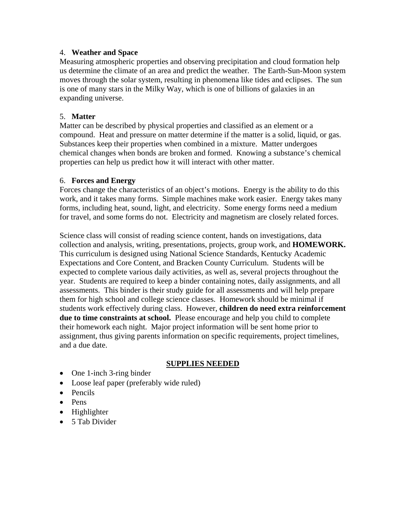#### 4. **Weather and Space**

Measuring atmospheric properties and observing precipitation and cloud formation help us determine the climate of an area and predict the weather. The Earth-Sun-Moon system moves through the solar system, resulting in phenomena like tides and eclipses. The sun is one of many stars in the Milky Way, which is one of billions of galaxies in an expanding universe.

#### 5. **Matter**

Matter can be described by physical properties and classified as an element or a compound. Heat and pressure on matter determine if the matter is a solid, liquid, or gas. Substances keep their properties when combined in a mixture. Matter undergoes chemical changes when bonds are broken and formed. Knowing a substance's chemical properties can help us predict how it will interact with other matter.

#### 6. **Forces and Energy**

Forces change the characteristics of an object's motions. Energy is the ability to do this work, and it takes many forms. Simple machines make work easier. Energy takes many forms, including heat, sound, light, and electricity. Some energy forms need a medium for travel, and some forms do not. Electricity and magnetism are closely related forces.

Science class will consist of reading science content, hands on investigations, data collection and analysis, writing, presentations, projects, group work, and **HOMEWORK.**  This curriculum is designed using National Science Standards, Kentucky Academic Expectations and Core Content, and Bracken County Curriculum. Students will be expected to complete various daily activities, as well as, several projects throughout the year. Students are required to keep a binder containing notes, daily assignments, and all assessments. This binder is their study guide for all assessments and will help prepare them for high school and college science classes. Homework should be minimal if students work effectively during class. However, **children do need extra reinforcement due to time constraints at school.** Please encourage and help you child to complete their homework each night. Major project information will be sent home prior to assignment, thus giving parents information on specific requirements, project timelines, and a due date.

## **SUPPLIES NEEDED**

- One 1-inch 3-ring binder
- Loose leaf paper (preferably wide ruled)
- Pencils
- Pens
- Highlighter
- 5 Tab Divider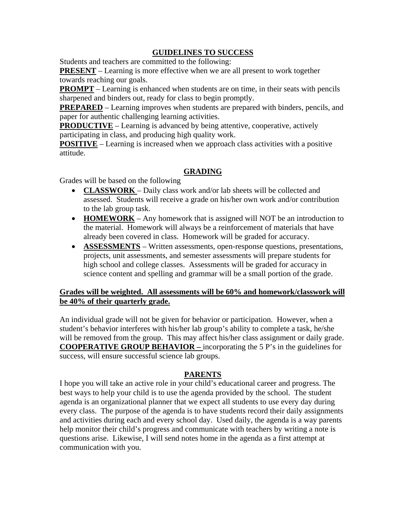### **GUIDELINES TO SUCCESS**

Students and teachers are committed to the following:

**PRESENT** – Learning is more effective when we are all present to work together towards reaching our goals.

**PROMPT** – Learning is enhanced when students are on time, in their seats with pencils sharpened and binders out, ready for class to begin promptly.

**PREPARED** – Learning improves when students are prepared with binders, pencils, and paper for authentic challenging learning activities.

**PRODUCTIVE** – Learning is advanced by being attentive, cooperative, actively participating in class, and producing high quality work.

**POSITIVE** – Learning is increased when we approach class activities with a positive attitude.

#### **GRADING**

Grades will be based on the following

- **CLASSWORK**  Daily class work and/or lab sheets will be collected and assessed. Students will receive a grade on his/her own work and/or contribution to the lab group task.
- **HOMEWORK** Any homework that is assigned will NOT be an introduction to the material. Homework will always be a reinforcement of materials that have already been covered in class. Homework will be graded for accuracy.
- **ASSESSMENTS** Written assessments, open-response questions, presentations, projects, unit assessments, and semester assessments will prepare students for high school and college classes. Assessments will be graded for accuracy in science content and spelling and grammar will be a small portion of the grade.

#### **Grades will be weighted. All assessments will be 60% and homework/classwork will be 40% of their quarterly grade.**

An individual grade will not be given for behavior or participation. However, when a student's behavior interferes with his/her lab group's ability to complete a task, he/she will be removed from the group. This may affect his/her class assignment or daily grade. **COOPERATIVE GROUP BEHAVIOR –** incorporating the 5 P's in the guidelines for success, will ensure successful science lab groups.

## **PARENTS**

I hope you will take an active role in your child's educational career and progress. The best ways to help your child is to use the agenda provided by the school. The student agenda is an organizational planner that we expect all students to use every day during every class. The purpose of the agenda is to have students record their daily assignments and activities during each and every school day. Used daily, the agenda is a way parents help monitor their child's progress and communicate with teachers by writing a note is questions arise. Likewise, I will send notes home in the agenda as a first attempt at communication with you.